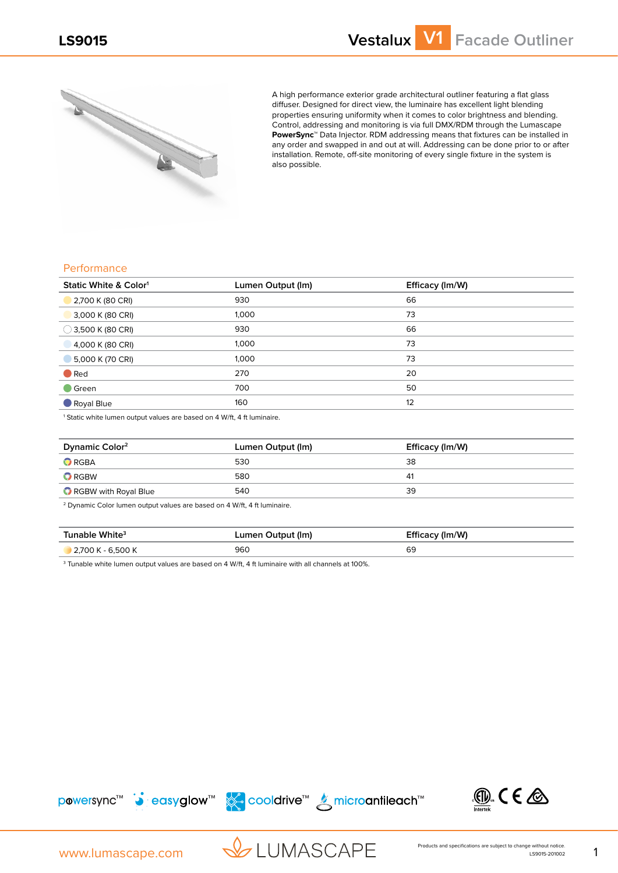

A high performance exterior grade architectural outliner featuring a flat glass diffuser. Designed for direct view, the luminaire has excellent light blending properties ensuring uniformity when it comes to color brightness and blending. Control, addressing and monitoring is via full DMX/RDM through the Lumascape **PowerSync™** Data Injector. RDM addressing means that fixtures can be installed in any order and swapped in and out at will. Addressing can be done prior to or after installation. Remote, off-site monitoring of every single fixture in the system is also possible.

## **Performance**

| Static White & Color <sup>1</sup> | Lumen Output (Im) | Efficacy (Im/W) |
|-----------------------------------|-------------------|-----------------|
| 2,700 K (80 CRI)                  | 930               | 66              |
| 3,000 K (80 CRI)                  | 1,000             | 73              |
| $\bigcirc$ 3,500 K (80 CRI)       | 930               | 66              |
| 4,000 K (80 CRI)                  | 1,000             | 73              |
| 5,000 K (70 CRI)                  | 1,000             | 73              |
| $\bullet$ Red                     | 270               | 20              |
| $\blacksquare$ Green              | 700               | 50              |
| Royal Blue                        | 160               | 12              |

<sup>1</sup> Static white lumen output values are based on 4 W/ft, 4 ft luminaire.

| Dynamic Color <sup>2</sup> | Lumen Output (Im) | Efficacy (Im/W) |
|----------------------------|-------------------|-----------------|
| $\bullet$ RGBA             | 530               | 38              |
| $\bullet$ RGBW             | 580               | 41              |
| RGBW with Royal Blue       | 540               | 39              |

2 Dynamic Color lumen output values are based on 4 W/ft, 4 ft luminaire.

| Tunable White <sup>3</sup> | Lumen Output (Im) | Efficacy (Im/W) |
|----------------------------|-------------------|-----------------|
| 2,700 K - 6,500 K          | 960               | 69              |

 $^{\text{3}}$  Tunable white lumen output values are based on 4 W/ft, 4 ft luminaire with all channels at 100%.







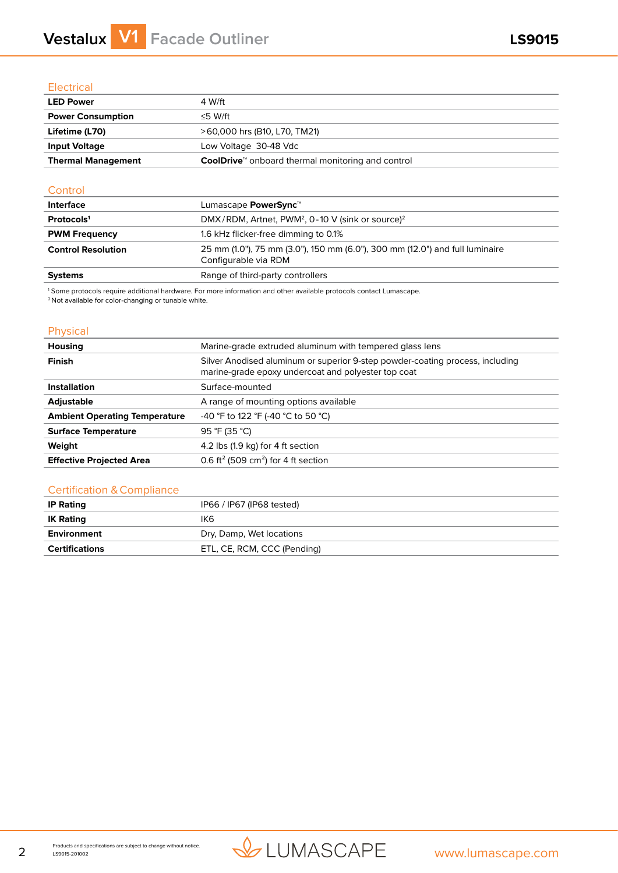# **Vestalux V1 Facade Outliner LS9015**

# **Electrical**

| <b>LED Power</b>          | 4 W/ft                                                               |  |
|---------------------------|----------------------------------------------------------------------|--|
| <b>Power Consumption</b>  | ≤5 W/ft                                                              |  |
| Lifetime (L70)            | >60,000 hrs (B10, L70, TM21)                                         |  |
| <b>Input Voltage</b>      | Low Voltage 30-48 Vdc                                                |  |
| <b>Thermal Management</b> | <b>CoolDrive</b> <sup>™</sup> onboard thermal monitoring and control |  |

## **Control**

| <b>Interface</b>          | Lumascape <b>PowerSync</b> <sup>™</sup>                                                              |
|---------------------------|------------------------------------------------------------------------------------------------------|
| Protocols <sup>1</sup>    | DMX/RDM, Artnet, PWM <sup>2</sup> , 0-10 V (sink or source) <sup>2</sup>                             |
| <b>PWM Frequency</b>      | 1.6 kHz flicker-free dimming to 0.1%                                                                 |
| <b>Control Resolution</b> | 25 mm (1.0"), 75 mm (3.0"), 150 mm (6.0"), 300 mm (12.0") and full luminaire<br>Configurable via RDM |
| <b>Systems</b>            | Range of third-party controllers                                                                     |

1 Some protocols require additional hardware. For more information and other available protocols contact Lumascape.

2 Not available for color-changing or tunable white.

## Physical

| Housing                              | Marine-grade extruded aluminum with tempered glass lens                                                                              |  |  |  |
|--------------------------------------|--------------------------------------------------------------------------------------------------------------------------------------|--|--|--|
| Finish                               | Silver Anodised aluminum or superior 9-step powder-coating process, including<br>marine-grade epoxy undercoat and polyester top coat |  |  |  |
| <b>Installation</b>                  | Surface-mounted                                                                                                                      |  |  |  |
| <b>Adjustable</b>                    | A range of mounting options available                                                                                                |  |  |  |
| <b>Ambient Operating Temperature</b> | -40 °F to 122 °F (-40 °C to 50 °C)                                                                                                   |  |  |  |
| <b>Surface Temperature</b>           | 95 °F (35 °C)                                                                                                                        |  |  |  |
| Weight                               | 4.2 lbs (1.9 kg) for 4 ft section                                                                                                    |  |  |  |
| <b>Effective Projected Area</b>      | 0.6 ft <sup>2</sup> (509 cm <sup>2</sup> ) for 4 ft section                                                                          |  |  |  |

## Certification & Compliance

| <b>IP Rating</b> | IP66 / IP67 (IP68 tested)   |
|------------------|-----------------------------|
| <b>IK Rating</b> | IK6.                        |
| Environment      | Dry, Damp, Wet locations    |
| Certifications   | ETL, CE, RCM, CCC (Pending) |

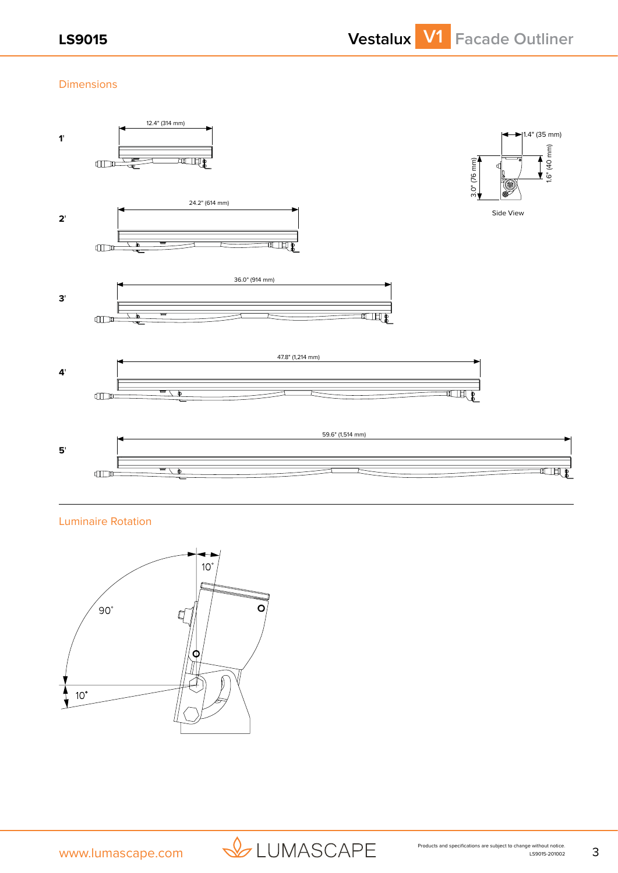# Dimensions



Luminaire Rotation



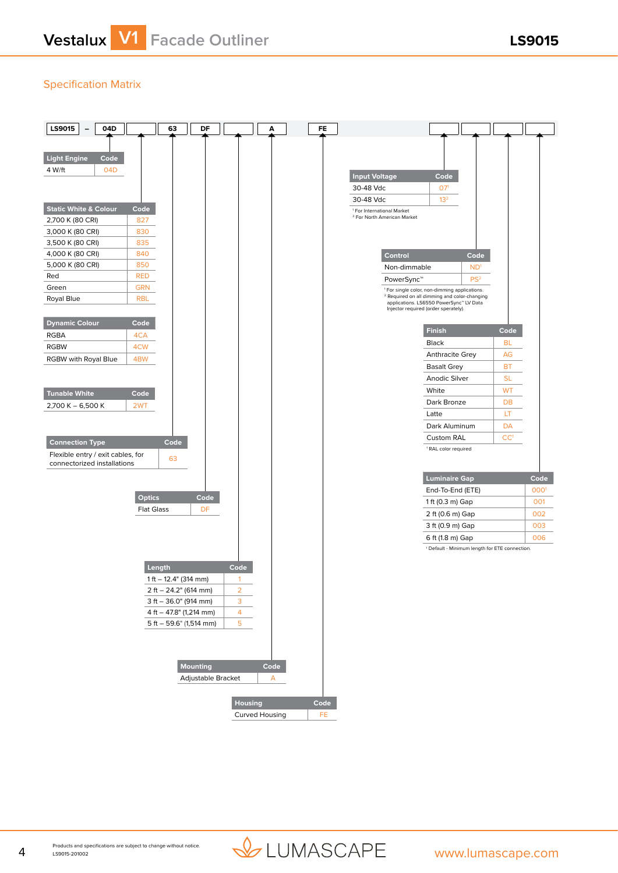# Specification Matrix



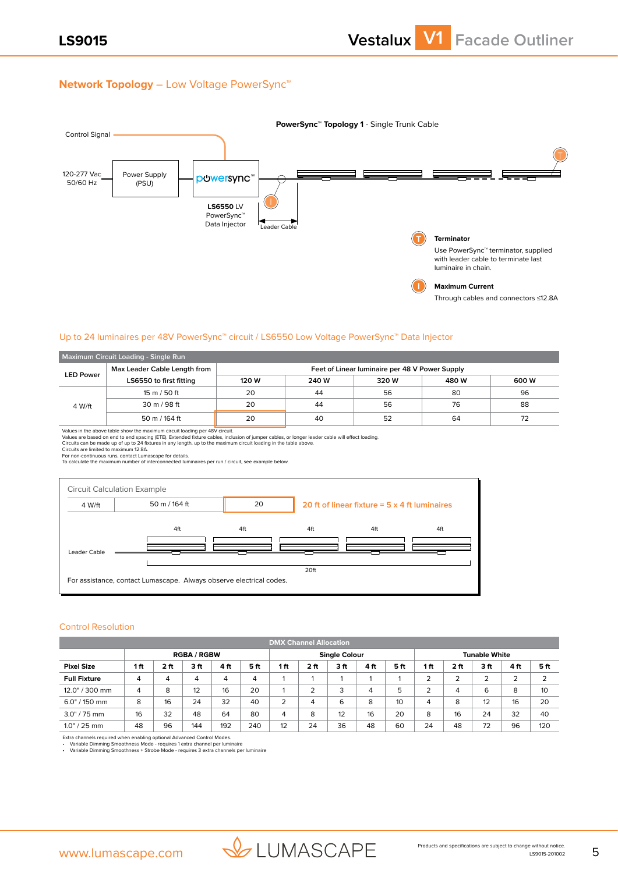## **Network Topology** – Low Voltage PowerSync™



## Up to 24 luminaires per 48V PowerSync™ circuit / LS6550 Low Voltage PowerSync™ Data Injector

| Maximum Circuit Loading - Single Run             |                                |                                                |       |       |       |       |  |  |  |
|--------------------------------------------------|--------------------------------|------------------------------------------------|-------|-------|-------|-------|--|--|--|
| Max Leader Cable Length from<br><b>LED Power</b> |                                | Feet of Linear luminaire per 48 V Power Supply |       |       |       |       |  |  |  |
|                                                  | LS6550 to first fitting        | 120 W                                          | 240 W | 320 W | 480 W | 600 W |  |  |  |
|                                                  | 15 m / 50 ft                   | 20                                             | 44    | 56    | 80    | 96    |  |  |  |
| 4 W/ft                                           | $30 \text{ m} / 98 \text{ ft}$ | 20                                             | 44    | 56    | 76    | 88    |  |  |  |
|                                                  | 50 m / 164 ft                  | 20                                             | 40    | 52    | 64    | 72    |  |  |  |

Values in the above table show the maximum circuit loading per 48V circuit.<br>Values are based on end to end spacing (ETE). Extended fixture cables, inclusion of jumper cables, or longer leader cable will effect loading.<br>Cir



#### Control Resolution

|                     | <b>DMX Channel Allocation</b> |      |     |     |                                              |     |      |     |      |     |     |                 |        |      |     |
|---------------------|-------------------------------|------|-----|-----|----------------------------------------------|-----|------|-----|------|-----|-----|-----------------|--------|------|-----|
| <b>RGBA / RGBW</b>  |                               |      |     |     | <b>Single Colour</b><br><b>Tunable White</b> |     |      |     |      |     |     |                 |        |      |     |
| <b>Pixel Size</b>   | 1ft                           | 2 ft | 3ft | 4ft | 5 ft                                         | 1ft | 2 ft | 3ft | 4 ft | 5ft | 1ft | 2 <sub>ft</sub> | 3ft    | 4 ft | 5ft |
| <b>Full Fixture</b> | 4                             | 4    | 4   | 4   | 4                                            |     |      |     |      |     | 2   | 2               | ∍<br>∠ | 2    | 2   |
| 12.0" / 300 mm      | 4                             | 8    | 12  | 16  | 20                                           |     | ∍    | 3   | 4    | 5   | っ   | 4               | 6      | 8    | 10  |
| $6.0$ " / 150 mm    | 8                             | 16   | 24  | 32  | 40                                           | 2   | 4    | 6   | 8    | 10  | 4   | 8               | 12     | 16   | 20  |
| $3.0$ " / 75 mm     | 16                            | 32   | 48  | 64  | 80                                           | 4   | 8    | 12  | 16   | 20  | 8   | 16              | 24     | 32   | 40  |
| $1.0" / 25$ mm      | 48                            | 96   | 144 | 192 | 240                                          | 12  | 24   | 36  | 48   | 60  | 24  | 48              | 72     | 96   | 120 |

Extra channels required when enabling optional Advanced Control Modes.<br>• Variable Dimming Smoothness Mode - requires 1 extra channel per luminaire<br>• Variable Dimming Smoothness + Strobe Mode - requires 3 extra channe

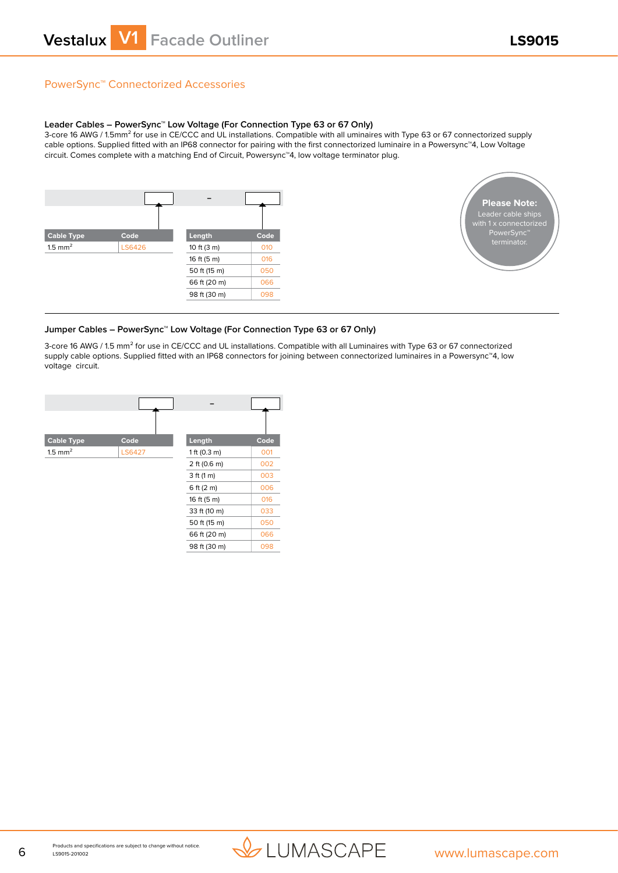# PowerSync™ Connectorized Accessories

#### **Leader Cables – PowerSync™ Low Voltage (For Connection Type 63 or 67 Only)**

3-core 16 AWG / 1.5mm<sup>2</sup> for use in CE/CCC and UL installations. Compatible with all uminaires with Type 63 or 67 connectorized supply cable options. Supplied fitted with an IP68 connector for pairing with the first connectorized luminaire in a Powersync™4, Low Voltage circuit. Comes complete with a matching End of Circuit, Powersync™4, low voltage terminator plug.





## **Jumper Cables – PowerSync™ Low Voltage (For Connection Type 63 or 67 Only)**

3-core 16 AWG / 1.5 mm² for use in CE/CCC and UL installations. Compatible with all Luminaires with Type 63 or 67 connectorized supply cable options. Supplied fitted with an IP68 connectors for joining between connectorized luminaires in a Powersync™4, low voltage circuit.